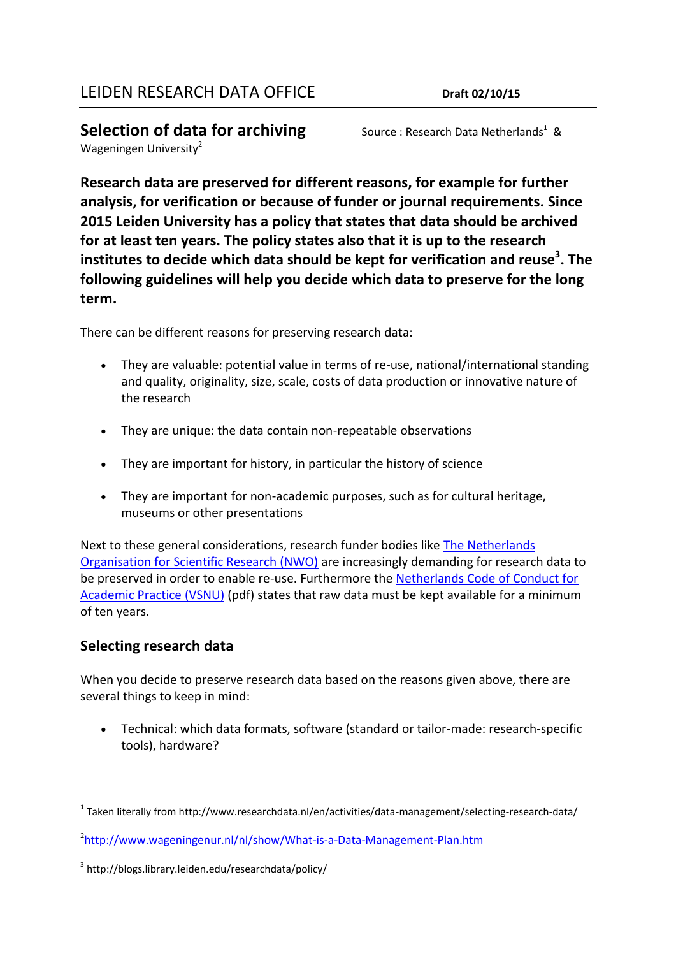**Selection of data for archiving** Wageningen University<sup>2</sup>

Source: Research Data Netherlands<sup>1</sup> &

**Research data are preserved for different reasons, for example for further analysis, for verification or because of funder or journal requirements. Since** 

**2015 Leiden University has a policy that states that data should be archived for at least ten years. The policy states also that it is up to the research institutes to decide which data should be kept for verification and reuse<sup>3</sup> . The following guidelines will help you decide which data to preserve for the long term.**

There can be different reasons for preserving research data:

- They are valuable: potential value in terms of re-use, national/international standing and quality, originality, size, scale, costs of data production or innovative nature of the research
- They are unique: the data contain non-repeatable observations
- They are important for history, in particular the history of science
- They are important for non-academic purposes, such as for cultural heritage, museums or other presentations

Next to these general considerations, research funder bodies like The Netherlands [Organisation for Scientific Research \(NWO\)](http://www.nwo.nl/en) are increasingly demanding for research data to be preserved in order to enable re-use. Furthermore the [Netherlands Code of Conduct for](http://www.vsnu.nl/files/documenten/Domeinen/Onderzoek/The%20Netherlands%20Code%20of%20Conduct%20for%20Academic%20Practice%202004%20%28version%202014%29.pdf)  [Academic Practice \(VSNU\)](http://www.vsnu.nl/files/documenten/Domeinen/Onderzoek/The%20Netherlands%20Code%20of%20Conduct%20for%20Academic%20Practice%202004%20%28version%202014%29.pdf) (pdf) states that raw data must be kept available for a minimum of ten years.

## **Selecting research data**

When you decide to preserve research data based on the reasons given above, there are several things to keep in mind:

 Technical: which data formats, software (standard or tailor-made: research-specific tools), hardware?

 $\overline{a}$ **1** Taken literally from http://www.researchdata.nl/en/activities/data-management/selecting-research-data/

<sup>&</sup>lt;sup>2</sup><http://www.wageningenur.nl/nl/show/What-is-a-Data-Management-Plan.htm>

<sup>3</sup> http://blogs.library.leiden.edu/researchdata/policy/